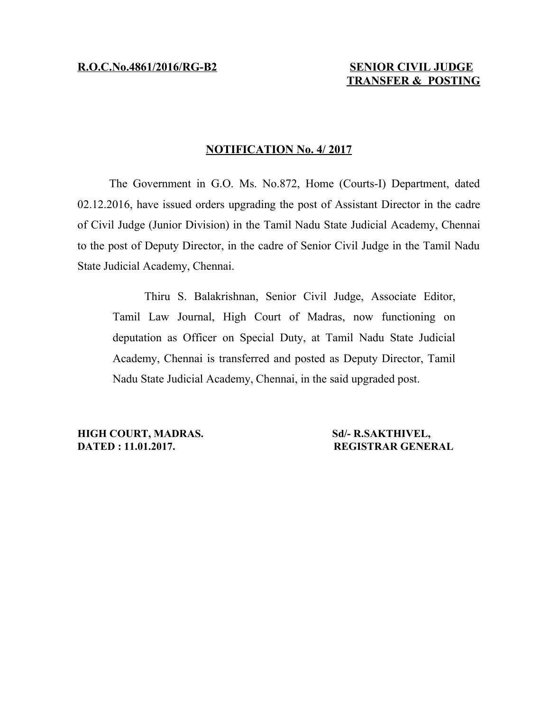## **NOTIFICATION No. 4/ 2017**

The Government in G.O. Ms. No.872, Home (Courts-I) Department, dated 02.12.2016, have issued orders upgrading the post of Assistant Director in the cadre of Civil Judge (Junior Division) in the Tamil Nadu State Judicial Academy, Chennai to the post of Deputy Director, in the cadre of Senior Civil Judge in the Tamil Nadu State Judicial Academy, Chennai.

Thiru S. Balakrishnan, Senior Civil Judge, Associate Editor, Tamil Law Journal, High Court of Madras, now functioning on deputation as Officer on Special Duty, at Tamil Nadu State Judicial Academy, Chennai is transferred and posted as Deputy Director, Tamil Nadu State Judicial Academy, Chennai, in the said upgraded post.

**HIGH COURT, MADRAS. Sd/- R.SAKTHIVEL, DATED : 11.01.2017. REGISTRAR GENERAL**